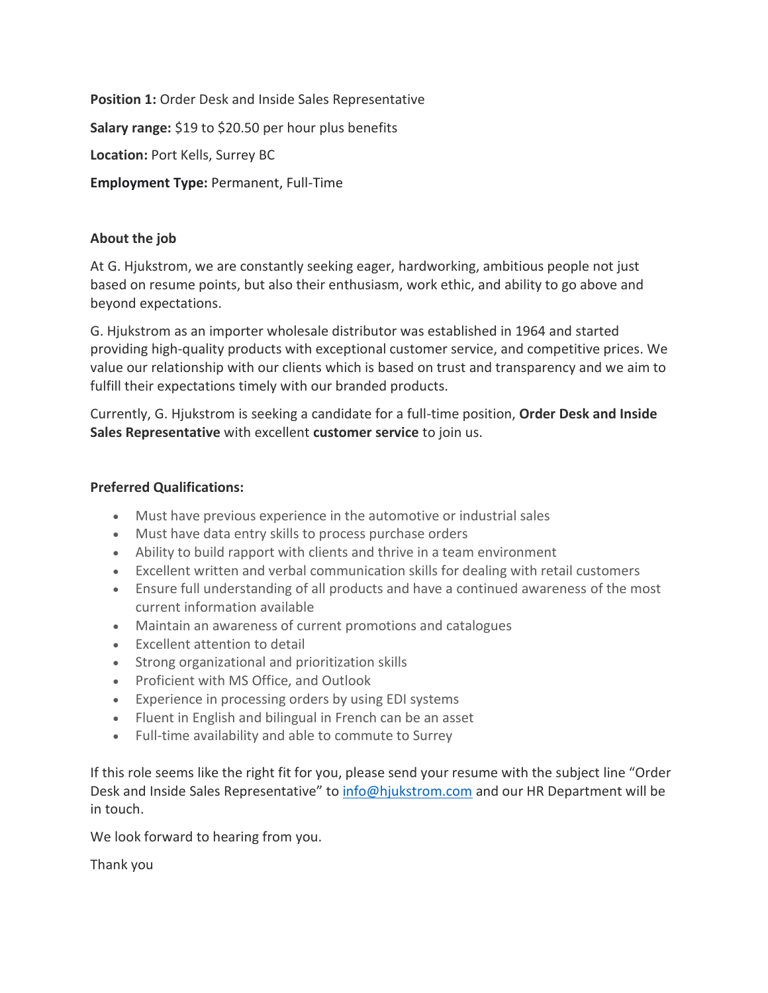**Position 1:** Order Desk and Inside Sales Representative **Salary range:** \$19 to \$20.50 per hour plus benefits **Location:** Port Kells, Surrey BC **Employment Type:** Permanent, Full-Time

## **About the job**

At G. Hjukstrom, we are constantly seeking eager, hardworking, ambitious people not just based on resume points, but also their enthusiasm, work ethic, and ability to go above and beyond expectations.

G. Hjukstrom as an importer wholesale distributor was established in 1964 and started providing high-quality products with exceptional customer service, and competitive prices. We value our relationship with our clients which is based on trust and transparency and we aim to fulfill their expectations timely with our branded products.

Currently, G. Hjukstrom is seeking a candidate for a full-time position, **Order Desk and Inside Sales Representative** with excellent **customer service** to join us.

## **Preferred Qualifications:**

- Must have previous experience in the automotive or industrial sales
- Must have data entry skills to process purchase orders
- Ability to build rapport with clients and thrive in a team environment
- Excellent written and verbal communication skills for dealing with retail customers
- Ensure full understanding of all products and have a continued awareness of the most current information available
- Maintain an awareness of current promotions and catalogues
- Excellent attention to detail
- Strong organizational and prioritization skills
- Proficient with MS Office, and Outlook
- Experience in processing orders by using EDI systems
- Fluent in English and bilingual in French can be an asset
- Full-time availability and able to commute to Surrey

If this role seems like the right fit for you, please send your resume with the subject line "Order Desk and Inside Sales Representative" to [info@hjukstrom.com](mailto:info@hjukstrom.com) and our HR Department will be in touch.

We look forward to hearing from you.

Thank you